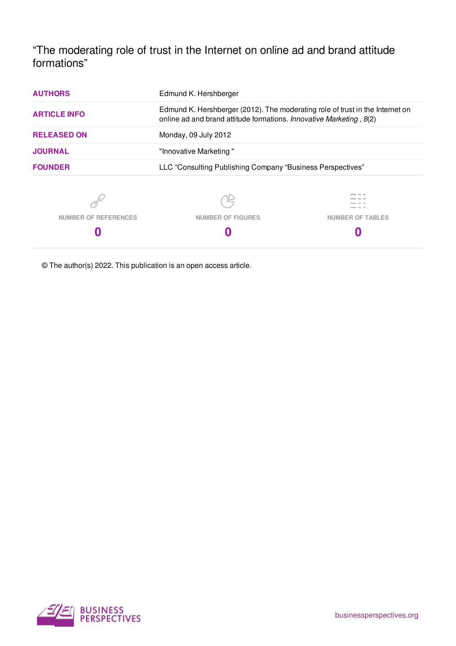"The moderating role of trust in the Internet on online ad and brand attitude formations"

| <b>AUTHORS</b>              | Edmund K. Hershberger                                                                                                                                |                         |  |
|-----------------------------|------------------------------------------------------------------------------------------------------------------------------------------------------|-------------------------|--|
| <b>ARTICLE INFO</b>         | Edmund K. Hershberger (2012). The moderating role of trust in the Internet on<br>online ad and brand attitude formations. Innovative Marketing, 8(2) |                         |  |
| <b>RELEASED ON</b>          | Monday, 09 July 2012                                                                                                                                 |                         |  |
| <b>JOURNAL</b>              | "Innovative Marketing"                                                                                                                               |                         |  |
| <b>FOUNDER</b>              | LLC "Consulting Publishing Company "Business Perspectives"                                                                                           |                         |  |
|                             |                                                                                                                                                      |                         |  |
| <b>NUMBER OF REFERENCES</b> | <b>NUMBER OF FIGURES</b>                                                                                                                             | <b>NUMBER OF TABLES</b> |  |
| U                           |                                                                                                                                                      |                         |  |

© The author(s) 2022. This publication is an open access article.

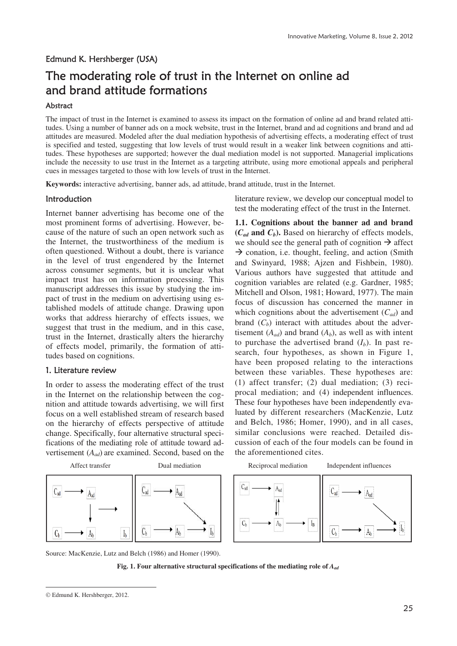## Edmund K. Hershberger (USA)

# The moderating role of trust in the Internet on online ad and brand attitude formations

## Abstract

The impact of trust in the Internet is examined to assess its impact on the formation of online ad and brand related attitudes. Using a number of banner ads on a mock website, trust in the Internet, brand and ad cognitions and brand and ad attitudes are measured. Modeled after the dual mediation hypothesis of advertising effects, a moderating effect of trust is specified and tested, suggesting that low levels of trust would result in a weaker link between cognitions and attitudes. These hypotheses are supported; however the dual mediation model is not supported. Managerial implications include the necessity to use trust in the Internet as a targeting attribute, using more emotional appeals and peripheral cues in messages targeted to those with low levels of trust in the Internet.

**Keywords:** interactive advertising, banner ads, ad attitude, brand attitude, trust in the Internet.

## Introduction

Internet banner advertising has become one of the most prominent forms of advertising. However, because of the nature of such an open network such as the Internet, the trustworthiness of the medium is often questioned. Without a doubt, there is variance in the level of trust engendered by the Internet across consumer segments, but it is unclear what impact trust has on information processing. This manuscript addresses this issue by studying the impact of trust in the medium on advertising using established models of attitude change. Drawing upon works that address hierarchy of effects issues, we suggest that trust in the medium, and in this case, trust in the Internet, drastically alters the hierarchy of effects model, primarily, the formation of attitudes based on cognitions.

#### 1. Literature review

In order to assess the moderating effect of the trust in the Internet on the relationship between the cognition and attitude towards advertising, we will first focus on a well established stream of research based on the hierarchy of effects perspective of attitude change. Specifically, four alternative structural specifications of the mediating role of attitude toward advertisement (*Aad*) are examined. Second, based on the literature review, we develop our conceptual model to test the moderating effect of the trust in the Internet.

**1.1. Cognitions about the banner ad and brand (***Cad* **and** *Cb***).** Based on hierarchy of effects models, we should see the general path of cognition  $\rightarrow$  affect  $\rightarrow$  conation, i.e. thought, feeling, and action (Smith) and Swinyard, 1988; Ajzen and Fishbein, 1980). Various authors have suggested that attitude and cognition variables are related (e.g. Gardner, 1985; Mitchell and Olson, 1981; Howard, 1977). The main focus of discussion has concerned the manner in which cognitions about the advertisement (*Cad*) and brand  $(C_b)$  interact with attitudes about the advertisement  $(A_{ad})$  and brand  $(A_b)$ , as well as with intent to purchase the advertised brand  $(I_b)$ . In past research, four hypotheses, as shown in Figure 1, have been proposed relating to the interactions between these variables. These hypotheses are: (1) affect transfer; (2) dual mediation; (3) reciprocal mediation; and (4) independent influences. These four hypotheses have been independently evaluated by different researchers (MacKenzie, Lutz and Belch, 1986; Homer, 1990), and in all cases, similar conclusions were reached. Detailed discussion of each of the four models can be found in the aforementioned cites.



Source: MacKenzie, Lutz and Belch (1986) and Homer (1990).



Edmund K. Hershberger, 2012.

 $\overline{a}$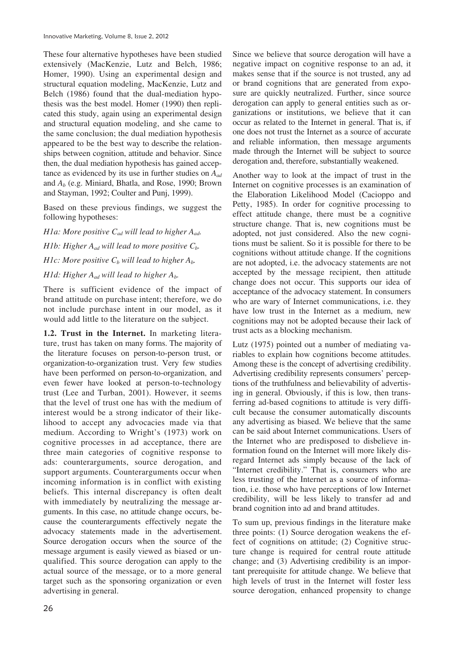These four alternative hypotheses have been studied extensively (MacKenzie, Lutz and Belch, 1986; Homer, 1990). Using an experimental design and structural equation modeling, MacKenzie, Lutz and Belch (1986) found that the dual-mediation hypothesis was the best model. Homer (1990) then replicated this study, again using an experimental design and structural equation modeling, and she came to the same conclusion; the dual mediation hypothesis appeared to be the best way to describe the relationships between cognition, attitude and behavior. Since then, the dual mediation hypothesis has gained acceptance as evidenced by its use in further studies on *Aad* and *Ab* (e.g. Miniard, Bhatla, and Rose, 1990; Brown and Stayman, 1992; Coulter and Punj, 1999).

Based on these previous findings, we suggest the following hypotheses:

*H1a: More positive Cad will lead to higher Aad. H1b: Higher*  $A_{ad}$  *will lead to more positive*  $C_b$ *. H1c: More positive C<sub>b</sub>* will lead to higher  $A_b$ . *H1d: Higher Aad will lead to higher Ab.* 

There is sufficient evidence of the impact of brand attitude on purchase intent; therefore, we do not include purchase intent in our model, as it

would add little to the literature on the subject.

**1.2. Trust in the Internet.** In marketing literature, trust has taken on many forms. The majority of the literature focuses on person-to-person trust, or organization-to-organization trust. Very few studies have been performed on person-to-organization, and even fewer have looked at person-to-technology trust (Lee and Turban, 2001). However, it seems that the level of trust one has with the medium of interest would be a strong indicator of their likelihood to accept any advocacies made via that medium. According to Wright's (1973) work on cognitive processes in ad acceptance, there are three main categories of cognitive response to ads: counterarguments, source derogation, and support arguments. Counterarguments occur when incoming information is in conflict with existing beliefs. This internal discrepancy is often dealt with immediately by neutralizing the message arguments. In this case, no attitude change occurs, because the counterarguments effectively negate the advocacy statements made in the advertisement. Source derogation occurs when the source of the message argument is easily viewed as biased or unqualified. This source derogation can apply to the actual source of the message, or to a more general target such as the sponsoring organization or even advertising in general.

Since we believe that source derogation will have a negative impact on cognitive response to an ad, it makes sense that if the source is not trusted, any ad or brand cognitions that are generated from exposure are quickly neutralized. Further, since source derogation can apply to general entities such as organizations or institutions, we believe that it can occur as related to the Internet in general. That is, if one does not trust the Internet as a source of accurate and reliable information, then message arguments made through the Internet will be subject to source derogation and, therefore, substantially weakened.

Another way to look at the impact of trust in the Internet on cognitive processes is an examination of the Elaboration Likelihood Model (Cacioppo and Petty, 1985). In order for cognitive processing to effect attitude change, there must be a cognitive structure change. That is, new cognitions must be adopted, not just considered. Also the new cognitions must be salient. So it is possible for there to be cognitions without attitude change. If the cognitions are not adopted, i.e. the advocacy statements are not accepted by the message recipient, then attitude change does not occur. This supports our idea of acceptance of the advocacy statement. In consumers who are wary of Internet communications, i.e. they have low trust in the Internet as a medium, new cognitions may not be adopted because their lack of trust acts as a blocking mechanism.

Lutz (1975) pointed out a number of mediating variables to explain how cognitions become attitudes. Among these is the concept of advertising credibility. Advertising credibility represents consumers' perceptions of the truthfulness and believability of advertising in general. Obviously, if this is low, then transferring ad-based cognitions to attitude is very difficult because the consumer automatically discounts any advertising as biased. We believe that the same can be said about Internet communications. Users of the Internet who are predisposed to disbelieve information found on the Internet will more likely disregard Internet ads simply because of the lack of "Internet credibility." That is, consumers who are less trusting of the Internet as a source of information, i.e. those who have perceptions of low Internet credibility, will be less likely to transfer ad and brand cognition into ad and brand attitudes.

To sum up, previous findings in the literature make three points: (1) Source derogation weakens the effect of cognitions on attitude; (2) Cognitive structure change is required for central route attitude change; and (3) Advertising credibility is an important prerequisite for attitude change. We believe that high levels of trust in the Internet will foster less source derogation, enhanced propensity to change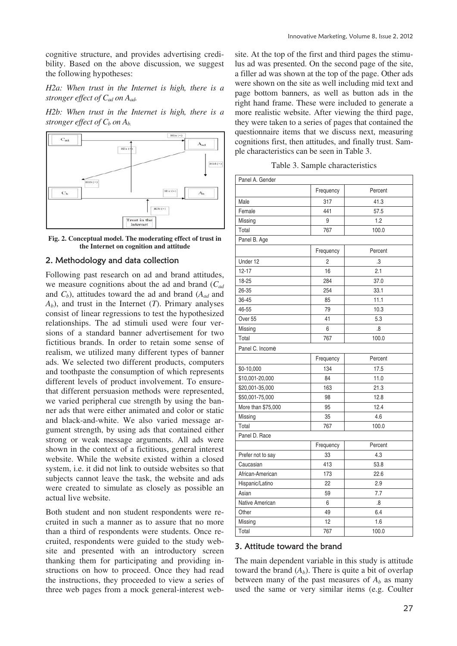cognitive structure, and provides advertising credibility. Based on the above discussion, we suggest the following hypotheses:

*H2a: When trust in the Internet is high, there is a stronger effect of Cad on Aad.* 

*H2b: When trust in the Internet is high, there is a stronger effect of*  $C_b$  *on*  $A_b$ *.* 





## 2. Methodology and data collection

Following past research on ad and brand attitudes, we measure cognitions about the ad and brand (*Cad* and *Cb*), attitudes toward the ad and brand (*Aad* and *Ab*), and trust in the Internet (*T*). Primary analyses consist of linear regressions to test the hypothesized relationships. The ad stimuli used were four versions of a standard banner advertisement for two fictitious brands. In order to retain some sense of realism, we utilized many different types of banner ads. We selected two different products, computers and toothpaste the consumption of which represents different levels of product involvement. To ensurethat different persuasion methods were represented, we varied peripheral cue strength by using the banner ads that were either animated and color or static and black-and-white. We also varied message argument strength, by using ads that contained either strong or weak message arguments. All ads were shown in the context of a fictitious, general interest website. While the website existed within a closed system, i.e. it did not link to outside websites so that subjects cannot leave the task, the website and ads were created to simulate as closely as possible an actual live website.

Both student and non student respondents were recruited in such a manner as to assure that no more than a third of respondents were students. Once recruited, respondents were guided to the study website and presented with an introductory screen thanking them for participating and providing instructions on how to proceed. Once they had read the instructions, they proceeded to view a series of three web pages from a mock general-interest website. At the top of the first and third pages the stimulus ad was presented. On the second page of the site, a filler ad was shown at the top of the page. Other ads were shown on the site as well including mid text and page bottom banners, as well as button ads in the right hand frame. These were included to generate a more realistic website. After viewing the third page, they were taken to a series of pages that contained the questionnaire items that we discuss next, measuring cognitions first, then attitudes, and finally trust. Sample characteristics can be seen in Table 3.

Table 3. Sample characteristics

| Panel A. Gender    |                |         |
|--------------------|----------------|---------|
|                    | Frequency      | Percent |
| Male               | 317            | 41.3    |
| Female             | 441            | 57.5    |
| Missing            | 9              | 1.2     |
| Total              | 767            | 100.0   |
| Panel B. Age       |                |         |
|                    | Frequency      | Percent |
| Under 12           | $\overline{2}$ | .3      |
| $12 - 17$          | 16             | 2.1     |
| 18-25              | 284            | 37.0    |
| 26-35              | 254            | 33.1    |
| 36-45              | 85             | 11.1    |
| 46-55              | 79             | 10.3    |
| Over <sub>55</sub> | 41             | 5.3     |
| Missing            | 6              | .8      |
| Total              | 767            | 100.0   |
| Panel C. Income    |                |         |
|                    | Frequency      | Percent |
| \$0-10,000         | 134            | 17.5    |
| \$10,001-20,000    | 84             | 11.0    |
| \$20,001-35,000    | 163            | 21.3    |
| \$50,001-75,000    | 98             | 12.8    |
| More than \$75,000 | 95             | 12.4    |
| Missing            | 35             | 4.6     |
| Total              | 767            | 100.0   |
| Panel D. Race      |                |         |
|                    | Frequency      | Percent |
| Prefer not to say  | 33             | 4.3     |
| Caucasian          | 413            | 53.8    |
| African-American   | 173            | 22.6    |
| Hispanic/Latino    | 22             | 2.9     |
| Asian              | 59             | 7.7     |
| Native American    | 6              | .8      |
| Other              | 49             | 6.4     |
| Missing            | 12             | 1.6     |
| Total              | 767            | 100.0   |

#### 3. Attitude toward the brand

The main dependent variable in this study is attitude toward the brand  $(A_b)$ . There is quite a bit of overlap between many of the past measures of  $A_b$  as many used the same or very similar items (e.g. Coulter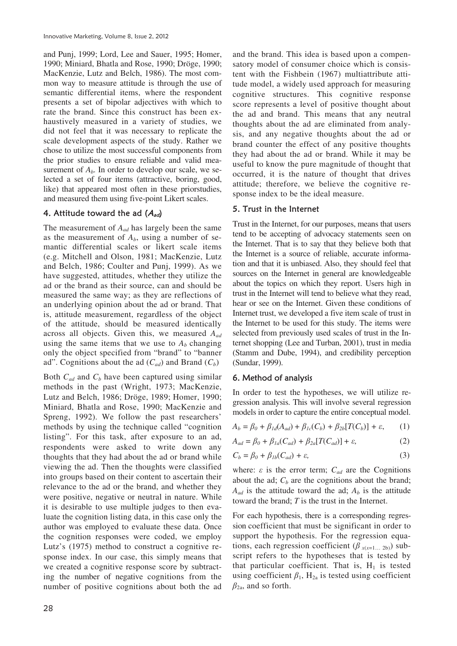and Punj, 1999; Lord, Lee and Sauer, 1995; Homer, 1990; Miniard, Bhatla and Rose, 1990; Dröge, 1990; MacKenzie, Lutz and Belch, 1986). The most common way to measure attitude is through the use of semantic differential items, where the respondent presents a set of bipolar adjectives with which to rate the brand. Since this construct has been exhaustively measured in a variety of studies, we did not feel that it was necessary to replicate the scale development aspects of the study. Rather we chose to utilize the most successful components from the prior studies to ensure reliable and valid measurement of  $A_b$ . In order to develop our scale, we selected a set of four items (attractive, boring, good, like) that appeared most often in these priorstudies, and measured them using five-point Likert scales.

## 4. Attitude toward the ad  $(A_{ad})$

The measurement of *Aad* has largely been the same as the measurement of  $A_b$ , using a number of semantic differential scales or likert scale items (e.g. Mitchell and Olson, 1981; MacKenzie, Lutz and Belch, 1986; Coulter and Punj, 1999). As we have suggested, attitudes, whether they utilize the ad or the brand as their source, can and should be measured the same way; as they are reflections of an underlying opinion about the ad or brand. That is, attitude measurement, regardless of the object of the attitude, should be measured identically across all objects. Given this, we measured *Aad* using the same items that we use to  $A_b$  changing only the object specified from "brand" to "banner ad". Cognitions about the ad  $(C_{ad})$  and Brand  $(C_b)$ 

Both *Cad* and *Cb* have been captured using similar methods in the past (Wright, 1973; MacKenzie, Lutz and Belch, 1986; Dröge, 1989; Homer, 1990; Miniard, Bhatla and Rose, 1990; MacKenzie and Spreng, 1992). We follow the past researchers' methods by using the technique called "cognition listing". For this task, after exposure to an ad, respondents were asked to write down any thoughts that they had about the ad or brand while viewing the ad. Then the thoughts were classified into groups based on their content to ascertain their relevance to the ad or the brand, and whether they were positive, negative or neutral in nature. While it is desirable to use multiple judges to then evaluate the cognition listing data, in this case only the author was employed to evaluate these data. Once the cognition responses were coded, we employ Lutz's (1975) method to construct a cognitive response index. In our case, this simply means that we created a cognitive response score by subtracting the number of negative cognitions from the number of positive cognitions about both the ad

and the brand. This idea is based upon a compensatory model of consumer choice which is consistent with the Fishbein (1967) multiattribute attitude model, a widely used approach for measuring cognitive structures. This cognitive response score represents a level of positive thought about the ad and brand. This means that any neutral thoughts about the ad are eliminated from analysis, and any negative thoughts about the ad or brand counter the effect of any positive thoughts they had about the ad or brand. While it may be useful to know the pure magnitude of thought that occurred, it is the nature of thought that drives attitude; therefore, we believe the cognitive response index to be the ideal measure.

#### 5. Trust in the Internet

Trust in the Internet, for our purposes, means that users tend to be accepting of advocacy statements seen on the Internet. That is to say that they believe both that the Internet is a source of reliable, accurate information and that it is unbiased. Also, they should feel that sources on the Internet in general are knowledgeable about the topics on which they report. Users high in trust in the Internet will tend to believe what they read, hear or see on the Internet. Given these conditions of Internet trust, we developed a five item scale of trust in the Internet to be used for this study. The items were selected from previously used scales of trust in the Internet shopping (Lee and Turban, 2001), trust in media (Stamm and Dube, 1994), and credibility perception (Sundar, 1999).

#### 6. Method of analysis

In order to test the hypotheses, we will utilize regression analysis. This will involve several regression models in order to capture the entire conceptual model.

$$
A_b = \beta_0 + \beta_{1d}(A_{ad}) + \beta_{1c}(C_b) + \beta_{2b}[T(C_b)] + \varepsilon, \qquad (1)
$$

$$
A_{ad} = \beta_0 + \beta_{1a}(C_{ad}) + \beta_{2a}[T(C_{ad})] + \varepsilon,\tag{2}
$$

$$
C_b = \beta_0 + \beta_{1b}(C_{ad}) + \varepsilon,\tag{3}
$$

where:  $\epsilon$  is the error term;  $C_{ad}$  are the Cognitions about the ad;  $C_b$  are the cognitions about the brand;  $A_{ad}$  is the attitude toward the ad;  $A_b$  is the attitude toward the brand; *T* is the trust in the Internet.

For each hypothesis, there is a corresponding regression coefficient that must be significant in order to support the hypothesis. For the regression equations, each regression coefficient  $(\beta_{x(x=1...2b)})$  subscript refers to the hypotheses that is tested by that particular coefficient. That is,  $H_1$  is tested using coefficient  $\beta_1$ , H<sub>2a</sub> is tested using coefficient  $\beta_{2a}$ , and so forth.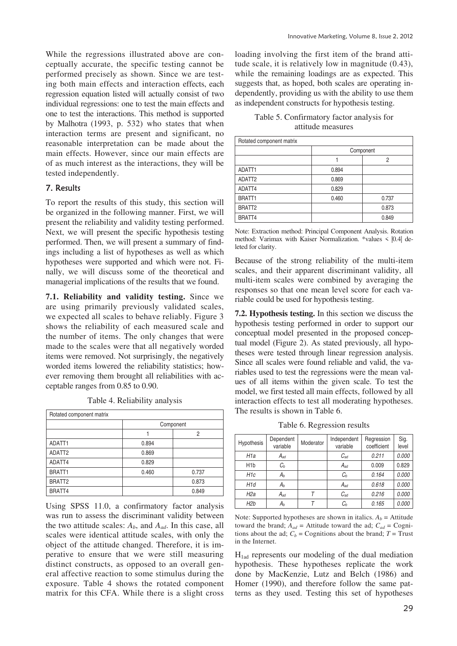While the regressions illustrated above are conceptually accurate, the specific testing cannot be performed precisely as shown. Since we are testing both main effects and interaction effects, each regression equation listed will actually consist of two individual regressions: one to test the main effects and one to test the interactions. This method is supported by Malhotra (1993, p. 532) who states that when interaction terms are present and significant, no reasonable interpretation can be made about the main effects. However, since our main effects are of as much interest as the interactions, they will be tested independently.

# 7. Results

To report the results of this study, this section will be organized in the following manner. First, we will present the reliability and validity testing performed. Next, we will present the specific hypothesis testing performed. Then, we will present a summary of findings including a list of hypotheses as well as which hypotheses were supported and which were not. Finally, we will discuss some of the theoretical and managerial implications of the results that we found.

**7.1. Reliability and validity testing.** Since we are using primarily previously validated scales, we expected all scales to behave reliably. Figure 3 shows the reliability of each measured scale and the number of items. The only changes that were made to the scales were that all negatively worded items were removed. Not surprisingly, the negatively worded items lowered the reliability statistics; however removing them brought all reliabilities with acceptable ranges from 0.85 to 0.90.

Table 4. Reliability analysis

| Rotated component matrix |           |       |
|--------------------------|-----------|-------|
|                          | Component |       |
|                          |           | 2     |
| ADATT1                   | 0.894     |       |
| ADATT2                   | 0.869     |       |
| ADATT4                   | 0.829     |       |
| BRATT1                   | 0.460     | 0.737 |
| BRATT <sub>2</sub>       |           | 0.873 |
| BRATT4                   |           | 0.849 |

Using SPSS 11.0, a confirmatory factor analysis was run to assess the discriminant validity between the two attitude scales:  $A_b$ , and  $A_{ad}$ . In this case, all scales were identical attitude scales, with only the object of the attitude changed. Therefore, it is imperative to ensure that we were still measuring distinct constructs, as opposed to an overall general affective reaction to some stimulus during the exposure. Table 4 shows the rotated component matrix for this CFA. While there is a slight cross

loading involving the first item of the brand attitude scale, it is relatively low in magnitude (0.43), while the remaining loadings are as expected. This suggests that, as hoped, both scales are operating independently, providing us with the ability to use them as independent constructs for hypothesis testing.

| Table 5. Confirmatory factor analysis for |  |
|-------------------------------------------|--|
| attitude measures                         |  |

| Rotated component matrix |           |       |
|--------------------------|-----------|-------|
|                          | Component |       |
|                          |           | 2     |
| ADATT1                   | 0.894     |       |
| ADATT2                   | 0.869     |       |
| ADATT4                   | 0.829     |       |
| BRATT <sub>1</sub>       | 0.460     | 0.737 |
| BRATT <sub>2</sub>       |           | 0.873 |
| BRATT4                   |           | 0.849 |

Note: Extraction method: Principal Component Analysis. Rotation method: Varimax with Kaiser Normalization. \*values <  $|0.4|$  deleted for clarity.

Because of the strong reliability of the multi-item scales, and their apparent discriminant validity, all multi-item scales were combined by averaging the responses so that one mean level score for each variable could be used for hypothesis testing.

**7.2. Hypothesis testing.** In this section we discuss the hypothesis testing performed in order to support our conceptual model presented in the proposed conceptual model (Figure 2). As stated previously, all hypotheses were tested through linear regression analysis. Since all scales were found reliable and valid, the variables used to test the regressions were the mean values of all items within the given scale. To test the model, we first tested all main effects, followed by all interaction effects to test all moderating hypotheses. The results is shown in Table 6.

Table 6. Regression results

| <b>Hypothesis</b> | Dependent | Moderator | Independent | Regression  | Sig.  |
|-------------------|-----------|-----------|-------------|-------------|-------|
|                   | variable  |           | variable    | coefficient | level |
| H <sub>1</sub> a  | $A_{ad}$  |           | $C_{ad}$    | 0.211       | 0.000 |
| H <sub>1</sub> b  | $C_b$     |           | $A_{ad}$    | 0.009       | 0.829 |
| H <sub>1c</sub>   | Aь        |           | $C_b$       | 0.164       | 0.000 |
| H <sub>1d</sub>   | $A_b$     |           | $A_{ad}$    | 0.618       | 0.000 |
| H <sub>2a</sub>   | Aad       |           | $C_{ad}$    | 0.216       | 0.000 |
| H <sub>2</sub> b  | Aь        |           | Сь          | 0.165       | 0.000 |

Note: Supported hypotheses are shown in italics.  $A_b$  = Attitude toward the brand;  $A_{ad}$  = Attitude toward the ad;  $C_{ad}$  = Cognitions about the ad;  $C_b$  = Cognitions about the brand;  $T =$  Trust in the Internet.

 $H<sub>1ad</sub>$  represents our modeling of the dual mediation hypothesis. These hypotheses replicate the work done by MacKenzie, Lutz and Belch (1986) and Homer (1990), and therefore follow the same patterns as they used. Testing this set of hypotheses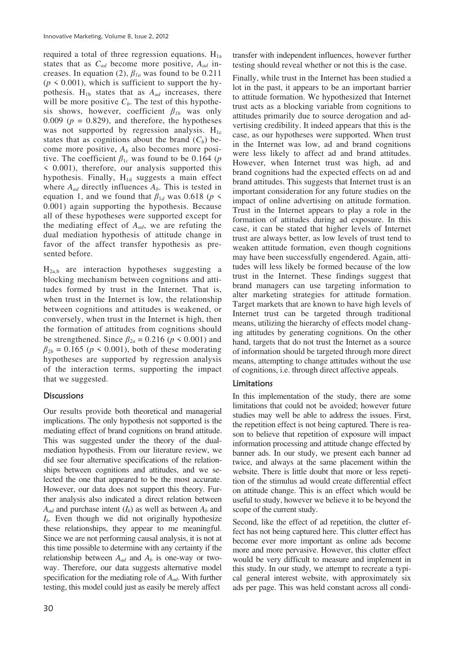required a total of three regression equations.  $H_{1a}$ states that as *Cad* become more positive, *Aad* increases. In equation (2),  $\beta_{1a}$  was found to be 0.211  $(p \le 0.001)$ , which is sufficient to support the hypothesis.  $H_{1b}$  states that as  $A_{ad}$  increases, there will be more positive  $C_b$ . The test of this hypothesis shows, however, coefficient  $\beta_{1b}$  was only 0.009 ( $p = 0.829$ ), and therefore, the hypotheses was not supported by regression analysis.  $H_{1c}$ states that as cognitions about the brand  $(C_b)$  become more positive, *Ab* also becomes more positive. The coefficient  $\beta_{1c}$  was found to be 0.164 (*p* < 0.001), therefore, our analysis supported this hypothesis. Finally,  $H_{1d}$  suggests a main effect where  $A_{ad}$  directly influences  $A_b$ . This is tested in equation 1, and we found that  $\beta_{1d}$  was 0.618 (*p* < 0.001) again supporting the hypothesis. Because all of these hypotheses were supported except for the mediating effect of *Aad*, we are refuting the dual mediation hypothesis of attitude change in favor of the affect transfer hypothesis as presented before.

H2a,b are interaction hypotheses suggesting a blocking mechanism between cognitions and attitudes formed by trust in the Internet. That is, when trust in the Internet is low, the relationship between cognitions and attitudes is weakened, or conversely, when trust in the Internet is high, then the formation of attitudes from cognitions should be strengthened. Since  $\beta_{2a} = 0.216$  ( $p \le 0.001$ ) and  $\beta_{2b} = 0.165$  ( $p \le 0.001$ ), both of these moderating hypotheses are supported by regression analysis of the interaction terms, supporting the impact that we suggested.

## **Discussions**

Our results provide both theoretical and managerial implications. The only hypothesis not supported is the mediating effect of brand cognitions on brand attitude. This was suggested under the theory of the dualmediation hypothesis. From our literature review, we did see four alternative specifications of the relationships between cognitions and attitudes, and we selected the one that appeared to be the most accurate. However, our data does not support this theory. Further analysis also indicated a direct relation between  $A_{ad}$  and purchase intent  $(I_b)$  as well as between  $A_b$  and *Ib*. Even though we did not originally hypothesize these relationships, they appear to me meaningful. Since we are not performing causal analysis, it is not at this time possible to determine with any certainty if the relationship between  $A_{ad}$  and  $A_b$  is one-way or twoway. Therefore, our data suggests alternative model specification for the mediating role of *Aad*. With further testing, this model could just as easily be merely affect

transfer with independent influences, however further testing should reveal whether or not this is the case.

Finally, while trust in the Internet has been studied a lot in the past, it appears to be an important barrier to attitude formation. We hypothesized that Internet trust acts as a blocking variable from cognitions to attitudes primarily due to source derogation and advertising credibility. It indeed appears that this is the case, as our hypotheses were supported. When trust in the Internet was low, ad and brand cognitions were less likely to affect ad and brand attitudes. However, when Internet trust was high, ad and brand cognitions had the expected effects on ad and brand attitudes. This suggests that Internet trust is an important consideration for any future studies on the impact of online advertising on attitude formation. Trust in the Internet appears to play a role in the formation of attitudes during ad exposure. In this case, it can be stated that higher levels of Internet trust are always better, as low levels of trust tend to weaken attitude formation, even though cognitions may have been successfully engendered. Again, attitudes will less likely be formed because of the low trust in the Internet. These findings suggest that brand managers can use targeting information to alter marketing strategies for attitude formation. Target markets that are known to have high levels of Internet trust can be targeted through traditional means, utilizing the hierarchy of effects model changing attitudes by generating cognitions. On the other hand, targets that do not trust the Internet as a source of information should be targeted through more direct means, attempting to change attitudes without the use of cognitions, i.e. through direct affective appeals.

## Limitations

In this implementation of the study, there are some limitations that could not be avoided; however future studies may well be able to address the issues. First, the repetition effect is not being captured. There is reason to believe that repetition of exposure will impact information processing and attitude change effected by banner ads. In our study, we present each banner ad twice, and always at the same placement within the website. There is little doubt that more or less repetition of the stimulus ad would create differential effect on attitude change. This is an effect which would be useful to study, however we believe it to be beyond the scope of the current study.

Second, like the effect of ad repetition, the clutter effect has not being captured here. This clutter effect has become ever more important as online ads become more and more pervasive. However, this clutter effect would be very difficult to measure and implement in this study. In our study, we attempt to recreate a typical general interest website, with approximately six ads per page. This was held constant across all condi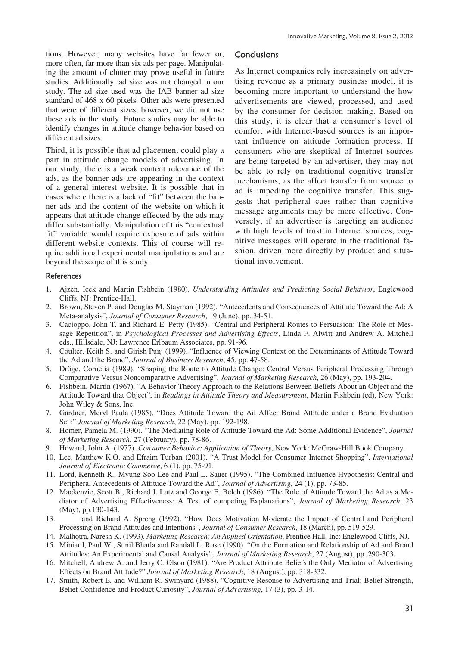tions. However, many websites have far fewer or, more often, far more than six ads per page. Manipulating the amount of clutter may prove useful in future studies. Additionally, ad size was not changed in our study. The ad size used was the IAB banner ad size standard of 468 x 60 pixels. Other ads were presented that were of different sizes; however, we did not use these ads in the study. Future studies may be able to identify changes in attitude change behavior based on different ad sizes.

Third, it is possible that ad placement could play a part in attitude change models of advertising. In our study, there is a weak content relevance of the ads, as the banner ads are appearing in the context of a general interest website. It is possible that in cases where there is a lack of "fit" between the banner ads and the content of the website on which it appears that attitude change effected by the ads may differ substantially. Manipulation of this "contextual fit" variable would require exposure of ads within different website contexts. This of course will require additional experimental manipulations and are beyond the scope of this study.

## **Conclusions**

As Internet companies rely increasingly on advertising revenue as a primary business model, it is becoming more important to understand the how advertisements are viewed, processed, and used by the consumer for decision making. Based on this study, it is clear that a consumer's level of comfort with Internet-based sources is an important influence on attitude formation process. If consumers who are skeptical of Internet sources are being targeted by an advertiser, they may not be able to rely on traditional cognitive transfer mechanisms, as the affect transfer from source to ad is impeding the cognitive transfer. This suggests that peripheral cues rather than cognitive message arguments may be more effective. Conversely, if an advertiser is targeting an audience with high levels of trust in Internet sources, cognitive messages will operate in the traditional fashion, driven more directly by product and situational involvement.

#### References

- 1. Ajzen, Icek and Martin Fishbein (1980). *Understanding Attitudes and Predicting Social Behavior*, Englewood Cliffs, NJ: Prentice-Hall.
- 2. Brown, Steven P. and Douglas M. Stayman (1992). "Antecedents and Consequences of Attitude Toward the Ad: A Meta-analysis", *Journal of Consumer Research*, 19 (June), pp. 34-51.
- 3. Cacioppo, John T. and Richard E. Petty (1985). "Central and Peripheral Routes to Persuasion: The Role of Message Repetition", in *Psychological Processes and Advertising Effects*, Linda F. Alwitt and Andrew A. Mitchell eds., Hillsdale, NJ: Lawrence Erlbaum Associates, pp. 91-96.
- 4. Coulter, Keith S. and Girish Punj (1999). "Influence of Viewing Context on the Determinants of Attitude Toward the Ad and the Brand", *Journal of Business Research*, 45, pp. 47-58.
- 5. Dröge, Cornelia (1989). "Shaping the Route to Attitude Change: Central Versus Peripheral Processing Through Comparative Versus Noncomparative Advertising", *Journal of Marketing Research*, 26 (May), pp. 193-204.
- 6. Fishbein, Martin (1967). "A Behavior Theory Approach to the Relations Between Beliefs About an Object and the Attitude Toward that Object", in *Readings in Attitude Theory and Measurement*, Martin Fishbein (ed), New York: John Wiley & Sons, Inc.
- 7. Gardner, Meryl Paula (1985). "Does Attitude Toward the Ad Affect Brand Attitude under a Brand Evaluation Set?" *Journal of Marketing Research*, 22 (May), pp. 192-198.
- 8. Homer, Pamela M. (1990). "The Mediating Role of Attitude Toward the Ad: Some Additional Evidence", *Journal of Marketing Research*, 27 (February), pp. 78-86.
- 9. Howard, John A. (1977). *Consumer Behavior: Application of Theory*, New York: McGraw-Hill Book Company.
- 10. Lee, Matthew K.O. and Efraim Turban (2001). "A Trust Model for Consumer Internet Shopping", *International Journal of Electronic Commerce*, 6 (1), pp. 75-91.
- 11. Lord, Kenneth R., Myung-Soo Lee and Paul L. Sauer (1995). "The Combined Influence Hypothesis: Central and Peripheral Antecedents of Attitude Toward the Ad", *Journal of Advertising*, 24 (1), pp. 73-85.
- 12. Mackenzie, Scott B., Richard J. Lutz and George E. Belch (1986). "The Role of Attitude Toward the Ad as a Mediator of Advertising Effectiveness: A Test of competing Explanations", *Journal of Marketing Research*, 23 (May), pp.130-143.
- 13. \_\_\_\_\_ and Richard A. Spreng (1992). "How Does Motivation Moderate the Impact of Central and Peripheral Processing on Brand Attitudes and Intentions", *Journal of Consumer Research*, 18 (March), pp. 519-529.
- 14. Malhotra, Naresh K. (1993). *Marketing Research: An Applied Orientation*, Prentice Hall, Inc: Englewood Cliffs, NJ.
- 15. Miniard, Paul W., Sunil Bhatla and Randall L. Rose (1990). "On the Formation and Relationship of Ad and Brand Attitudes: An Experimental and Causal Analysis", *Journal of Marketing Research*, 27 (August), pp. 290-303.
- 16. Mitchell, Andrew A. and Jerry C. Olson (1981). "Are Product Attribute Beliefs the Only Mediator of Advertising Effects on Brand Attitude?" *Journal of Marketing Research*, 18 (August), pp. 318-332.
- 17. Smith, Robert E. and William R. Swinyard (1988). "Cognitive Resonse to Advertising and Trial: Belief Strength, Belief Confidence and Product Curiosity", *Journal of Advertising*, 17 (3), pp. 3-14.